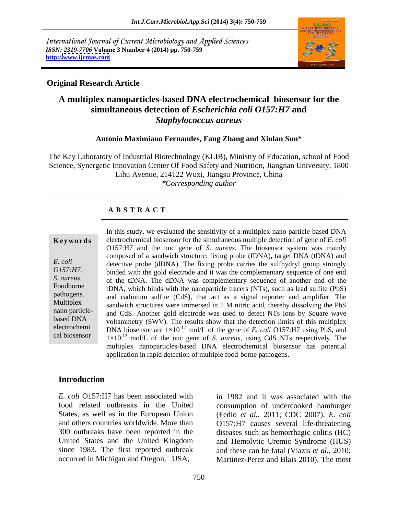International Journal of Current Microbiology and Applied Sciences *ISSN: 2319-7706* **Volume 3 Number 4 (2014) pp. 750-759 http:/[/www.ijcmas.com](http://www.ijcmas.com)**



### **Original Research Article**

# **A multiplex nanoparticles-based DNA electrochemical biosensor for the simultaneous detection of** *Escherichia coli O157:H7* **and** *Staphylococcus aureus*

### **Antonio Maximiano Fernandes, Fang Zhang and Xiulan Sun\***

The Key Laboratory of Industrial Biotechnology (KLIB), Ministry of Education, school of Food Science, Synergetic Innovation Center Of Food Safety and Nutrition, Jiangnan University, 1800 Lihu Avenue, 214122 Wuxi, Jiangsu Province, China *\*Corresponding author*

### **A B S T R A C T**

**Ke ywo rds** electrochemical biosensor for the simultaneous multiple detection of gene of *E. coli E. coli* detective probe (dDNA). The fixing probe carries the sulfhydryl group strongly *O157:H7.*<br>S. *aureus.* S. *S. aureus.* S. *S. aureus.* S. *S. aureus.* S. *S. aureus.* S. *S. aureus.* S. *S. aureus.* S. *S. aureus.* S. *S. aureus.* S. *S. aureus.* S. *S. aureus.* S. *S. aureus.* S. *S. aureus.* S. *S.* Foodborne tDNA, which binds with the nanoparticle tracers (NTs), such as lead sulfite (PbS) pathogens. and cadmium sulfite (CdS), that act as a signal reporter and amplifier. The Multiplex sandwich structures were immersed in 1 M nitric acid, thereby dissolving the PbS nano particle-<br>hand CdS. Another gold electrode was used to detect NTs ions by Square wave based DNA voltammetry (SWV). The results show that the detection limits of this multiplex electrochemi DNA biosensor are  $1 \times 10^{-12}$  mol/L of the gene of *E. coli* O157:H7 using PbS, and cal biosensor  $1 \times 10^{-12}$  mol/L of the nuc gene of *S. aureus*, using CdS NTs respectively. The In this study, we evaluated the sensitivity of a multiplex nano particle-based DNA O157:H7 and the nuc gene of *S. aureus.* The biosensor system was mainly composed of a sandwich structure: fixing probe (fDNA), target DNA (tDNA) and of the tDNA. The dDNA was complementary sequence of another end of the multiplex nanoparticles-based DNA electrochemical biosensor has potential application in rapid detection of multiple food-borne pathogens.

### **Introduction**

*E. coli* O157:H7 has been associated with in 1982 and it was associated with the food related outbreaks in the United consumption of undercooked hamburger States, as well as in the European Union (Fedio *et al.,* 2011; CDC 2007). *E. coli*  and others countries worldwide. More than O157:H7 causes several life-threatening 300 outbreaks have been reported in the diseases such as hemorrhagic colitis (HC) United States and the United Kingdom and Hemolytic Uremic Syndrome (HUS) since 1983. The first reported outbreak occurred in Michigan and Oregon, USA, Martinez-Perez and Blais 2010). The most

and these can be fatal (Viazis *et al.,* 2010;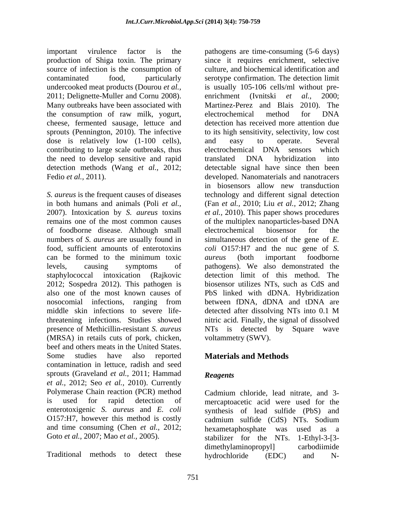important virulence factor is the pathogens are time-consuming (5-6 days) production of Shiga toxin. The primary source of infection is the consumption of 2011; Delignette-Muller and Cornu 2008). enrichment (Ivnitski et al., 2000; Many outbreaks have been associated with the consumption of raw milk, yogurt, cheese, fermented sausage, lettuce and sprouts (Pennington, 2010). The infective dose is relatively low (1-100 cells), and easy to operate. Several contributing to large scale outbreaks, thus electrochemical DNA sensors which the need to develop sensitive and rapid translated DNA hybridization into

of foodborne disease. Although small numbers of *S. aureus* are usually found in 2012; Sospedra 2012). This pathogen is middle skin infections to severe life-<br>detected after dissolving NTs into 0.1 M presence of Methicillin-resistant *S. aureus* (MRSA) in retails cuts of pork, chicken, beef and others meats in the United States. Some studies have also reported **Materials and Methods** contamination in lettuce, radish and seed sprouts (Graveland *et al.,* 2011; Hammad *et al.,* 2012; Seo *et al.,* 2010).Currently Polymerase Chain reaction (PCR) method Cadmium chloride, lead nitrate, and 3 is used for rapid detection of mercaptoacetic acid were used for the enterotoxigenic *S. aureus* and *E. coli* O157:H7, however this method is costly cadmium sulfide (CdS) NTs. Sodium and time consuming (Chen *et al.*, 2012; hexametaphosphate was used as a

contaminated food, particularly serotype confirmation. The detection limit undercooked meat products (Dourou *et al.,*  is usually 105-106 cells/ml without pre detection methods (Wang *et al.,* 2012; detectable signal have since then been Fedio *et al.*, 2011). **Solution** developed. Nanomaterials and nanotracers *S. aureus* is the frequent causes of diseases technology and different signal detection in both humans and animals (Poli *et al.,* (Fan *et al.,* 2010; Liu *et al.,* 2012; Zhang 2007). Intoxication by *S. aureus* toxins *et al.,* 2010). This paper shows procedures remains one of the most common causes of the multiplex nanoparticles-based DNA food, sufficient amounts of enterotoxins *coli* O157:H7 and the nuc gene of *S.*  can be formed to the minimum toxic *aureus* (both important foodborne levels, causing symptoms of pathogens). We also demonstrated the staphylococcal intoxication (Rajkovic detection limit of this method. The also one of the most known causes of PbS linked with dDNA. Hybridization nosocomial infections, ranging from between fDNA, dDNA and tDNA are threatening infections. Studies showed nitric acid. Finally, the signal of dissolved since it requires enrichment, selective culture, and biochemical identification and enrichment (Ivnitski Martinez-Perez and Blais 2010). The electrochemical method for DNA detection has received more attention due to its high sensitivity, selectivity, low cost and easy to operate. Several electrochemical DNA sensors which translated DNA hybridization into in biosensors allow new transduction electrochemical biosensor for the simultaneous detection of the gene of *E. aureus* (both important foodborne biosensor utilizes NTs, such as CdS and detected after dissolving NTs into 0.1 M NTs is detected by Square wave voltammetry (SWV).

# **Materials and Methods**

# *Reagents*

Goto *et al.,* 2007; Mao *et al.,* 2005). stabilizer for the NTs. 1-Ethyl-3-[3- Traditional methods to detect these hydrochloride (EDC) and Nsynthesis of lead sulfide (PbS) and hexametaphosphate was used as a dimethylaminopropyl] carbodiimide hydrochloride (EDC) and N-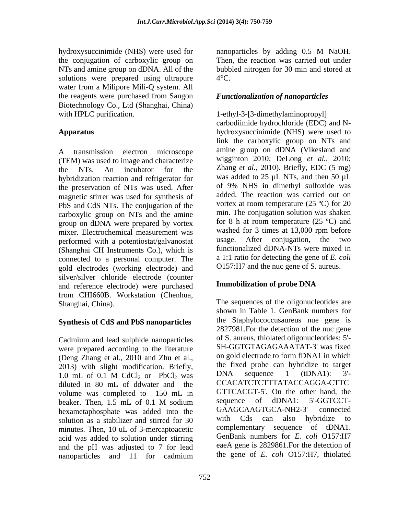hydroxysuccinimide (NHS) were used for annoparticles by adding 0.5 M NaOH. the conjugation of carboxylic group on solutions were prepared using ultrapure  $4^{\circ}$ C. water from a Milipore Mili-Q system. All the reagents were purchased from Sangon Biotechnology Co., Ltd (Shanghai, China) with HPLC purification.  $1$ -ethyl-3-[3-dimethylaminopropyl]

(TEM) was used to image and characterize hybridization reaction and refrigerator for the preservation of NTs was used. After magnetic stirrer was used for synthesis of PbS and CdS NTs. The conjugation of the carboxylic group on NTs and the amine group on dDNA were prepared by vortex mixer. Electrochemical measurement was washed for 3 times at 13,000 rpm before<br>performed with a potentiostat/galvanostat usage. After conjugation, the two performed with a potentiostat/galvanostat (Shanghai CH Instruments Co.), which is connected to a personal computer. The gold electrodes (working electrode) and silver/silver chloride electrode (counter<br>and reference electrode) were purchased<br>Immobilization of probe DNA and reference electrode) were purchased from CHI660B. Workstation (Chenhua, Shanghai, China). The sequences of the oligonucleotides are

## **Synthesis of CdS and PbS nanoparticles**

Cadmium and lead sulphide nanoparticles were prepared according to the literature (Deng Zhang et al., 2010 and Zhu et al., 2013) with slight modification. Briefly, the fixed probe can hybridize to target<br>1.0 mJ of 0.1 M CdCl, or PbCl, was DNA sequence 1 (tDNA1): 3'diluted in 80 mL of ddwater and the volume was completed to 150 mL in GITCACGT-5'. On the other hand, the beaker Then 1.5 mL of 0.1 M sodium sequence of dDNA1: 5'-GGTCCThexametaphosphate was added into the GAAGCAAGTGCA-NH2-3' connected<br>solution as a stabilizer and stirred for 30 with Cds can also hybridize to solution as a stabilizer and stirred for 30 minutes. Then, 10 uL of 3-mercaptoacetic acid was added to solution under stirring and the pH was adjusted to 7 for lead nanoparticles and 11 for cadmium the gene of E. coli  $O(57.1H)$ , thiolated

NTs and amine group on dDNA. All of the bubbled nitrogen for 30 min and stored at nanoparticles by adding 0.5 M NaOH. Then, the reaction was carried out under  $4^{\circ}$ C.

## *Functionalization of nanoparticles*

Apparatus **Apparatus** hydroxysuccinimide (NHS) were used to A transmission electron microscope amine group on dDNA (Vikesland and the NTs. An incubator for the Zhang *et al.,* 2010). Briefly, EDC (5 mg) carbodiimide hydrochloride (EDC) and N link the carboxylic group on NTs and amine group on dDNA (Vikesland and wigginton 2010; DeLong *et al.,* 2010; was added to 25  $\mu$ L NTs, and then 50  $\mu$ L of 9% NHS in dimethyl sulfoxide was added. The reaction was carried out on vortex at room temperature (25 ºC) for 20 min. The conjugation solution was shaken for 8 h at room temperature  $(25 \text{ °C})$  and washed for 3 times at 13,000 rpm before usage. After conjugation, the two functionalized dDNA-NTs were mixed in a 1:1 ratio for detecting the gene of *E. coli* O157:H7 and the nuc gene of S. aureus.

## **Immobilization of probe DNA**

1.0 mL of 0.1 M CdCl<sub>2</sub> or PbCl<sub>2</sub> was  $DNA$  sequence 1 (tDNA1): 3<sup>-1</sup> beaker. Then, 1.5 mL of 0.1 M sodium sequence of dDNA1: 5-GGTCCTshown in Table 1. GenBank numbers for the Staphylococcusaureus nue gene is 2827981.For the detection of the nuc gene of S. aureus, thiolated oligonucleotides: 5'- SH-GGTGTAGAGAAATAT-3' was fixed on gold electrode to form fDNA1 in which the fixed probe can hybridize to target DNA sequence 1 (tDNA1): 3'- CCACATCTCTTTATACCAGGA-CTTC GTTCACGT-5'. On the other hand, the sequence of dDNA1: 5'-GGTCCT- GAAGCAAGTGCA-NH2-3' connected with Cds can also hybridize to complementary sequence of tDNA1. GenBank numbers for *E. coli* O157:H7 eaeA gene is 2829861.For the detection of the gene of *E. coli* O157:H7, thiolated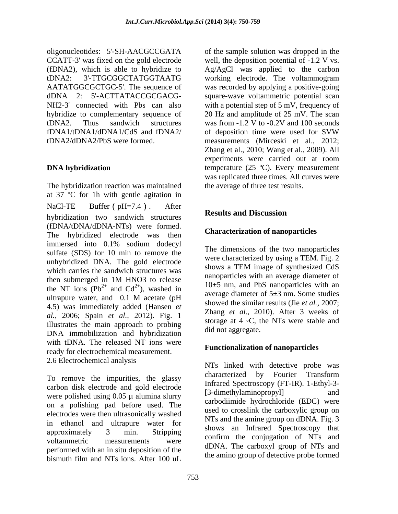oligonucleotides: 5'-SH-AACGCCGATA of the sample solution was dropped in the CCATT-3' was fixed on the gold electrode well, the deposition potential of -1.2 V vs. (fDNA2), which is able to hybridize to Ag/AgCl was applied to the carbon tDNA2: 3'-TTGCGGCTATGGTAATG working electrode. The voltammogram AATATGGCGCTGC-5'. The sequence of was recorded by applying a positive-going dDNA 2: 5'-ACTTATACCGCGACG- square-wave voltammetric potential scan NH2-3' connected with Pbs can also with a potential step of 5 mV, frequency of hybridize to complementary sequence of 20 Hz and amplitude of 25 mV. The scan tDNA2. Thus sandwich structures was from -1.2 V to -0.2V and 100 seconds fDNA1/tDNA1/dDNA1/CdS and fDNA2/ tDNA2/dDNA2/PbS were formed. measurements (Mirceski et al., 2012;

The hybridization reaction was maintained at 37 ºC for 1h with gentle agitation in NaCl-TE Buffer  $pH=7.4$ ). After  $\overline{a}$   $\overline{b}$   $\overline{c}$   $\overline{c}$   $\overline{d}$   $\overline{c}$   $\overline{d}$   $\overline{c}$   $\overline{d}$   $\overline{d}$   $\overline{c}$   $\overline{d}$   $\overline{c}$   $\overline{d}$   $\overline{d}$   $\overline{d}$   $\overline{d}$   $\overline{d}$   $\overline{d}$   $\overline{d}$   $\overline{d}$  hybridization two sandwich structures **Results and Discussion** (fDNA/tDNA/dDNA-NTs) were formed. The hybridized electrode was then immersed into 0.1% sodium dodecyl sulfate (SDS) for 10 min to remove the unhybridized DNA. The gold electrode<br>were characterized by using a TEM. Fig. 2<br>shows a TEM image of synthesized CdS which carries the sandwich structures was then submerged in  $1M$  HNO3 to release  $\frac{12.5 \times 10^{14} \text{ N}}{10.5 \times 10^{14} \text{ N}}$  and  $\frac{10.5 \times 10^{14} \text{ N}}{10^{14} \text{ N}}$  and  $\frac{10.5 \times 10^{14} \text{ N}}{10^{14} \text{ N}}$  are sensible solutions. the NT ions  $(Pb^{2+}$  and  $Cd^{2+}$ ), washed in ultrapure water, and  $0.1$  M acetate (pH  $\frac{1}{1}$  average diameter of  $J\pm J$  mm. Some studies 4.5) was immediately added (Hansen *et al.,* 2006; Spain *et al.,* 2012). Fig. 1 illustrates the main approach to probing DNA immobilization and hybridization with tDNA. The released NT ions were ready for electrochemical measurement. 2.6 Electrochemical analysis

carbon disk electrode and gold electrode Initiated Spectroscopy (F1-IR). 1-Eury1-5-<br>[3-dimethylaminopropyl] and were polished using  $0.05 \mu$  alumina slurry on a polishing pad before used. The electrodes were then ultrasonically washed in ethanol and ultrapure water for approximately 3 min. Stripping  $\frac{\text{shows an initial eq}}{\text{energy}}$  spectroscopy that voltammetric measurements were communitiest conjugation of NTs and performed with an in situ deposition of the bismuth film and NTs ions. After 100 uL the annual group of detective probe formed

**DNA hybridization** temperature (25 °C). Every measurement of deposition time were used for SVW Zhang et al., 2010; Wang et al., 2009). All experiments were carried out at room was replicated three times. All curves were the average of three test results.

# **Results and Discussion**

### **Characterization of nanoparticles**

 $^{2+}$  and  $Cd^{2+}$  weshed in  $10\pm 5$  nm, and PbS nanoparticles with an and  $Cd^{2+}$ ), washed in  $10\pm 5$  limit, and rbs hanoparticles with an  $^{2+}$ ), washed in  $10\pm5$  nm, and PbS nanoparticles with an The dimensions of the two nanoparticles were characterized by using a TEM. Fig. 2 shows a TEM image of synthesized CdS nanoparticles with an average diameter of average diameter of 5±3 nm. Some studies showed the similar results (Jie *et al.,* 2007; Zhang *et al.,* 2010). After 3 weeks of storage at  $4 \text{ } \circ \text{C}$ , the NTs were stable and did not aggregate.

## **Functionalization of nanoparticles**

To remove the impurities, the glassy characterized by Fourier Transform NTs linked with detective probe was characterized by Fourier Transform Infrared Spectroscopy (FT-IR). 1-Ethyl-3- [3-dimethylaminopropyl] and carbodiimide hydrochloride (EDC) were used to crosslink the carboxylic group on NTs and the amine group on dDNA. Fig. 3 shows an Infrared Spectroscopy that confirm the conjugation of NTs and dDNA. The carboxyl group of NTs and the amino group of detective probe formed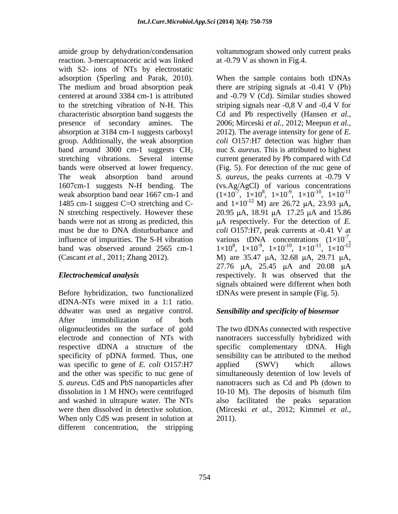amide group by dehydration/condensation voltammogram showed only current peaks reaction. 3-mercaptoacetic acid was linked with S2- ions of NTs by electrostatic group. Additionally, the weak absorption

Before hybridization, two functionalized dDNA-NTs were mixed in a 1:1 ratio. ddwater was used as negative control. After immobilization of both oligonucleotides on the surface of gold The two dDNAs connected with respective electrode and connection of NTs with nanotracers successfully hybridized with respective dDNA a structure of the specific complementary tDNA. High specificity of pDNA formed. Thus, one was specific to gene of *E. coli* O157:H7 applied (SWV) which allows and the other was specific to nuc gene of simultaneously detention of low levels of *S. aureus*. CdS and PbS nanoparticles after nanotracers such as Cd and Pb (down to dissolution in 1 M HNO<sub>3</sub> were centrifuged  $10-10$  M). The deposits of bismuth film and washed in ultrapure water. The NTs also facilitated the peaks separation were then dissolved in detective solution. (Mirceski *et al.,* 2012; Kimmel *et al.,* When only CdS was present in solution at different concentration, the stripping

at -0.79 V as shown in Fig.4.

adsorption (Sperling and Parak, 2010). When the sample contains both tDNAs The medium and broad absorption peak there are striping signals at -0.41 V (Pb) centered at around 3384 cm-1 is attributed and -0.79 V (Cd). Similar studies showed to the stretching vibration of N-H. This striping signals near -0,8 V and -0,4 V for characteristic absorption band suggests the Cd and Pb respectivelly (Hansen *et al.,* presence of secondary amines. The 2006; Mirceski *et al.,* 2012; Meepun *et al.,*  absorption at 3184 cm-1 suggests carboxyl 2012). The average intensity for gene of *E.*  band around 3000 cm-1 suggests CH<sub>2</sub> nuc *S. aureus*. This is attributed to highest stretching vibrations. Several intense current generated by Pb compared with Cd bands were observed at lower frequency. (Fig. 5). For detection of the nuc gene of The weak absorption band around *S. aureus*, the peaks currents at -0.79 V 1607cm-1 suggests N-H bending. The (vs.Ag/AgCl) of various concentrations weak absorption band near 1667 cm-1 and  $(1 \times 10^{-7}, 1 \times 10^{8}, 1 \times 10^{-9}, 1 \times 10^{-10}, 1 \times 10^{-11})$ 1485 cm-1 suggest C=O stretching and C- and  $1\times10^{-12}$  M) are 26.72  $\mu$ A, 23.93  $\mu$ A, N stretching respectively. However these  $20.95 \mu A$ , 18.91  $\mu A$  17.25  $\mu A$  and 15.86 bands were not as strong as predicted, this A respectively. For the detection of *E.*  must be due to DNA disturburbance and *coli* O157:H7, peak currents at -0.41 V at influence of impurities. The S-H vibration various tDNA concentrations  $(1\times10^{-7})$ , influence of impurities. The S-H vibration various tDNA concentrations  $(1 \times 10^{-7})$ , band was observed around 2565 cm-1  $1 \times 10^8$ ,  $1 \times 10^{-9}$ ,  $1 \times 10^{-10}$ ,  $1 \times 10^{-11}$ ,  $1 \times 10^{-12}$ (Cascant *et al.*, 2011; Zhang 2012). M) are 35.47  $\mu$ A, 32.68  $\mu$ A, 29.71  $\mu$ A, *Electrochemical analysis* respectively. It was observed that the *coli* O157:H7 detection was higher than  $-9$   $1 \times 10^{-10}$   $1 \times 10^{-11}$ ,  $1 \times 10^{-10}$ ,  $1 \times 10^{-11}$  $-10 \t 1 \times 10^{-11}$ ,  $1 \times 10^{-11}$ -11 -7 ,  $1 \times 10^{-11}$ ,  $1 \times 10^{-12}$  $-11 \quad 1 \times 10^{-12}$ ,  $1 \times 10^{-12}$ -12 27.76 µA, 25.45 µA and 20.08 µA signals obtained were different when both tDNAs were present in sample (Fig. 5).

## *Sensibility and specificity of biosensor*

sensibility can be attributed to the method applied (SWV) which allows 10-10 M). The deposits of bismuth film 2011).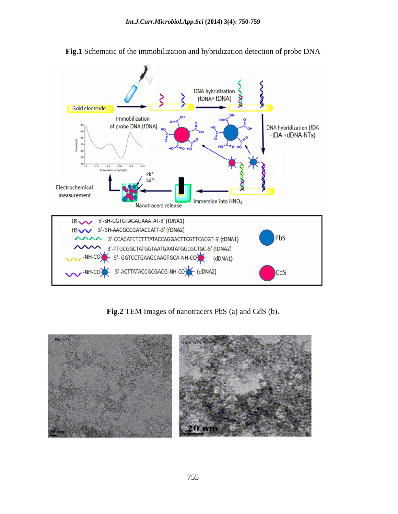

**Fig.1** Schematic of the immobilization and hybridization detection of probe DNA

**Fig.2** TEM Images of nanotracers PbS (a) and CdS (b).

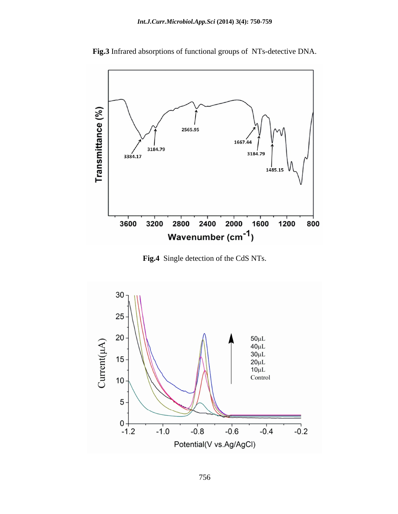

**Fig.3** Infrared absorptions of functional groups of NTs-detective DNA.

**Fig.4** Single detection of the CdS NTs.

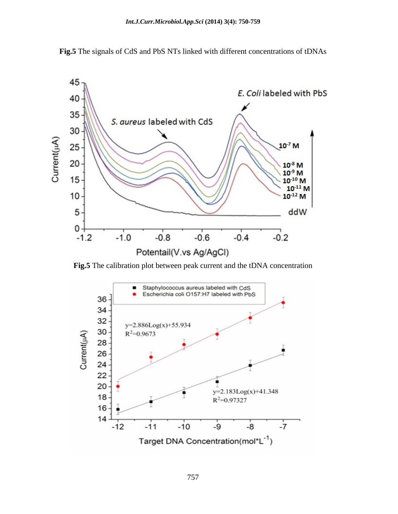

**Fig.5** The signals of CdS and PbS NTs linked with different concentrations of tDNAs



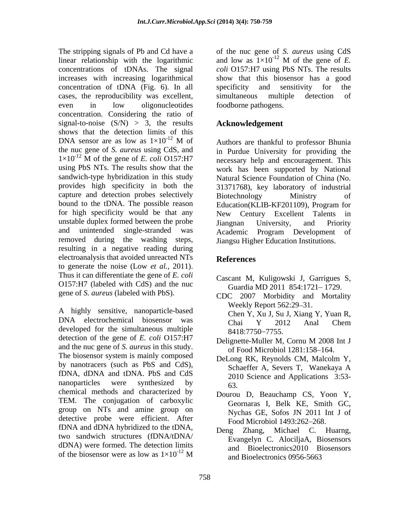linear relationship with the logarithmic and low as  $1\times10^{-12}$  M of the gene of E. concentrations of tDNAs. The signal increases with increasing logarithmical show that this biosensor has a good concentration of tDNA (Fig. 6). In all cases, the reproducibility was excellent, even in low oligonucleotides foodborne pathogens. concentration. Considering the ratio of signal-to-noise  $(S/N) > 3$ , the results shows that the detection limits of this<br>DNA sensor are as low as  $1\times10^{-12}$  M of DNA sensor are as low as  $1\times10^{-12}$  M of Authors are thankful to professor Bhunia the nuc gene of *S. aureus*using CdS, and in Purdue University for providing the  $1 \times 10^{-12}$  M of the gene of *E. coli* O157:H7 necessary help and encouragement. This using PbS NTs. The results show that the sandwich-type hybridization in this study Natural Science Foundation of China (No. provides high specificity in both the capture and detection probes selectively Biotechnology Ministry of bound to the tDNA. The possible reason Education (KLIB-KF201109), Program for for high specificity would be that any Mew Century Excellent Talents in unstable duplex formed between the probe such and priority and Priority and unintended single-stranded was removed during the washing steps, resulting in a negative reading during electroanalysis that avoided unreacted NTs<br>References to generate the noise (Low *et al.,* 2011). Thus it can differentiate the gene of *E. coli*  O157:H7 (labeled with CdS) and the nuc gene of *S. aureus* (labeled with PbS).

DNA electrochemical biosensor was Chai Y 2012 Anal Chem developed for the simultaneous multiple 8418:7750-7755. detection of the gene of *E. coli* O157:H7 and the nuc gene of *S. aureus* in this study. The biosensor system is mainly composed<br>DeLong RK, Reynolds CM, Malcolm Y, by nanotracers (such as PbS and CdS), Schaeffer A, Severs T, Wanekaya A fDNA, dDNA and tDNA. PbS and CdS nanoparticles were synthesized by  $63$ chemical methods and characterized by TEM. The conjugation of carboxylic group on NTs and amine group on detective probe were efficient. After fDNA and dDNA hybridized to the tDNA, Deng Zhang, Michael C. Huarng, two sandwich structures (fDNA/tDNA/ dDNA) were formed. The detection limits<br>of the biosensor were as low as  $1 \times 10^{-12}$  M

The stripping signals of Pb and Cd have a of the nuc gene of *S. aureus* using CdS  $^{-12}$  M of the gene of *E*. *coli* O157:H7 using PbS NTs. The results specificity and sensitivity for the simultaneous multiple detection of foodborne pathogens.

# **Acknowledgement**

<sup>-12</sup> M of Authors are thankful to professor Bhunia necessary help and encouragement. This work has been supported by National 31371768), key laboratory of industrial Biotechnology Ministry of Education(KLIB-KF201109), Program for New Century Excellent Talents Jiangnan University, and Priority Academic Program Development of Jiangsu Higher Education Institutions.

## **References**

- Cascant M, Kuligowski J, Garrigues S, Guardia MD 2011 854:1721-1729.
- A highly sensitive, nanoparticle-based<br>A highly sensitive, nanoparticle-based<br>Chan V Yu I Su I Viene CDC 2007 Morbidity and Mortality Weekly Report 562:29–31. Chen Y, Xu J, Su J, Xiang Y, Yuan R, Chai Y 2012 Anal Chem 8418:7750–7755.
	- Delignette-Muller M, Cornu M 2008 Int J of Food Microbiol 1281:158-164.
	- DeLong RK, Reynolds CM, Malcolm Y, Schaeffer A, Severs T, Wanekaya A 2010 Science and Applications 3:53- 63.
	- Dourou D, Beauchamp CS, Yoon Y, Geornaras I, Belk KE, Smith GC, Nychas GE, Sofos JN 2011 Int J of Food Microbiol 1493:262-268.
- of the biosensor were as low as  $1 \times 10^{-12}$  M and Bioelectronics 0956-5663  $^{12}$  M and Bioelectronics 0956-5663 Deng Zhang, Michael C. Huarng, Evangelyn C. AlociljaA, Biosensors and Bioelectronics2010 Biosensors and Bioelectronics 0956-5663